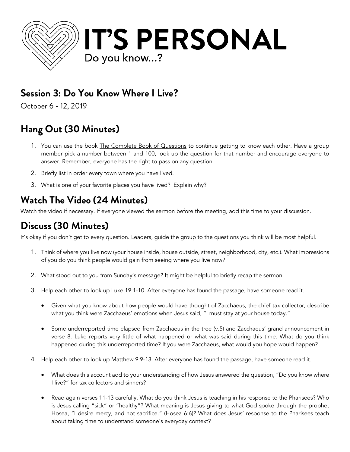

### **Session 3: Do You Know Where I Live?**

October 6 - 12, 2019

# **Hang Out (30 Minutes)**

- 1. You can use the book The Complete Book of Questions to continue getting to know each other. Have a group member pick a number between 1 and 100, look up the question for that number and encourage everyone to answer. Remember, everyone has the right to pass on any question.
- 2. Briefly list in order every town where you have lived.
- 3. What is one of your favorite places you have lived? Explain why?

## **Watch The Video (24 Minutes)**

Watch the video if necessary. If everyone viewed the sermon before the meeting, add this time to your discussion.

## **Discuss (30 Minutes)**

It's okay if you don't get to every question. Leaders, guide the group to the questions you think will be most helpful.

- 1. Think of where you live now (your house inside, house outside, street, neighborhood, city, etc.). What impressions of you do you think people would gain from seeing where you live now?
- 2. What stood out to you from Sunday's message? It might be helpful to briefly recap the sermon.
- 3. Help each other to look up Luke 19:1-10. After everyone has found the passage, have someone read it.
	- Given what you know about how people would have thought of Zacchaeus, the chief tax collector, describe what you think were Zacchaeus' emotions when Jesus said, "I must stay at your house today."
	- Some underreported time elapsed from Zacchaeus in the tree (v.5) and Zacchaeus' grand announcement in verse 8. Luke reports very little of what happened or what was said during this time. What do you think happened during this underreported time? If you were Zacchaeus, what would you hope would happen?
- 4. Help each other to look up Matthew 9:9-13. After everyone has found the passage, have someone read it.
	- What does this account add to your understanding of how Jesus answered the question, "Do you know where I live?" for tax collectors and sinners?
	- Read again verses 11-13 carefully. What do you think Jesus is teaching in his response to the Pharisees? Who is Jesus calling "sick" or "healthy"? What meaning is Jesus giving to what God spoke through the prophet Hosea, "I desire mercy, and not sacrifice." (Hosea 6:6)? What does Jesus' response to the Pharisees teach about taking time to understand someone's everyday context?